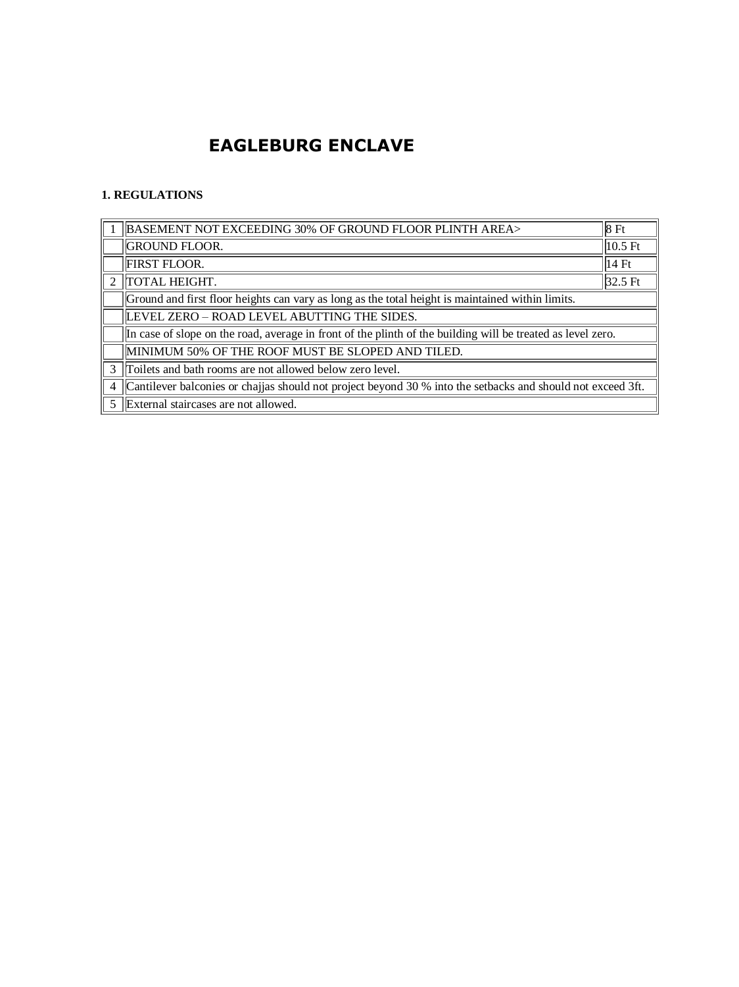## **EAGLEBURG ENCLAVE**

## **1. REGULATIONS**

|                | BASEMENT NOT EXCEEDING 30% OF GROUND FLOOR PLINTH AREA>                                                     | 8 Ft              |
|----------------|-------------------------------------------------------------------------------------------------------------|-------------------|
|                | <b>GROUND FLOOR.</b>                                                                                        | $10.5 \text{ Ft}$ |
|                | <b>FIRST FLOOR.</b>                                                                                         | $14 \mathrm{F}$ t |
| $\mathfrak{D}$ | TOTAL HEIGHT.                                                                                               | $32.5 \text{ Ft}$ |
|                | Ground and first floor heights can vary as long as the total height is maintained within limits.            |                   |
|                | LEVEL ZERO - ROAD LEVEL ABUTTING THE SIDES.                                                                 |                   |
|                | In case of slope on the road, average in front of the plinth of the building will be treated as level zero. |                   |
|                | MINIMUM 50% OF THE ROOF MUST BE SLOPED AND TILED.                                                           |                   |
| 3              | Toilets and bath rooms are not allowed below zero level.                                                    |                   |
| 4              | Cantilever balconies or chajjas should not project beyond 30 % into the setbacks and should not exceed 3ft. |                   |
|                | External staircases are not allowed.                                                                        |                   |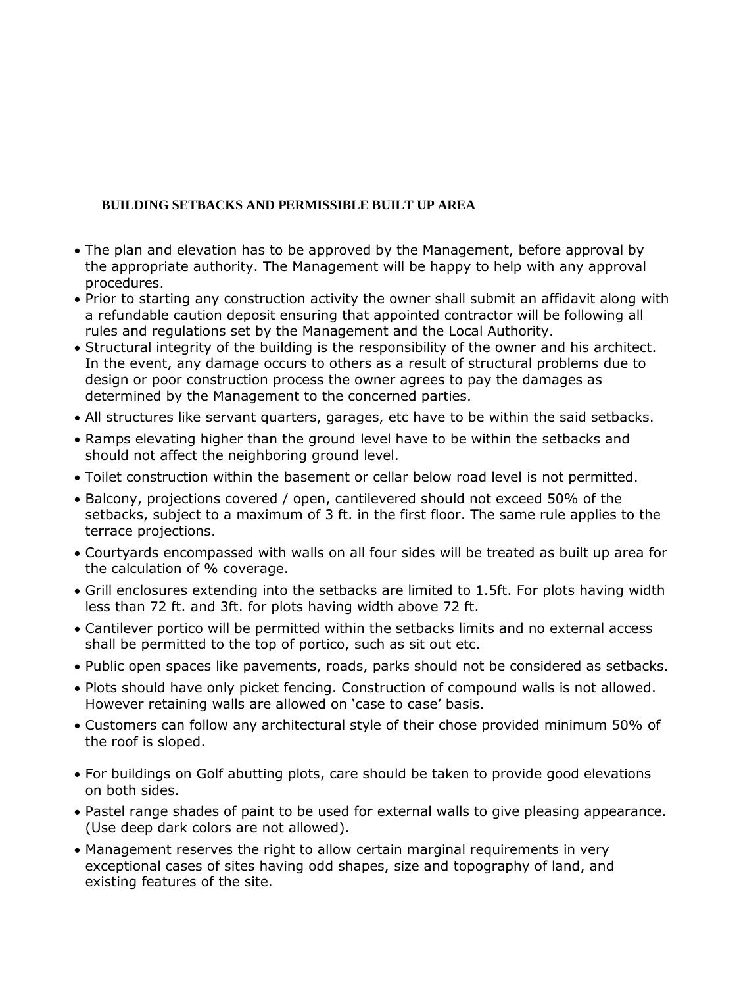## **BUILDING SETBACKS AND PERMISSIBLE BUILT UP AREA**

- The plan and elevation has to be approved by the Management, before approval by the appropriate authority. The Management will be happy to help with any approval procedures.
- Prior to starting any construction activity the owner shall submit an affidavit along with a refundable caution deposit ensuring that appointed contractor will be following all rules and regulations set by the Management and the Local Authority.
- Structural integrity of the building is the responsibility of the owner and his architect. In the event, any damage occurs to others as a result of structural problems due to design or poor construction process the owner agrees to pay the damages as determined by the Management to the concerned parties.
- All structures like servant quarters, garages, etc have to be within the said setbacks.
- Ramps elevating higher than the ground level have to be within the setbacks and should not affect the neighboring ground level.
- Toilet construction within the basement or cellar below road level is not permitted.
- Balcony, projections covered / open, cantilevered should not exceed 50% of the setbacks, subject to a maximum of 3 ft. in the first floor. The same rule applies to the terrace projections.
- Courtyards encompassed with walls on all four sides will be treated as built up area for the calculation of % coverage.
- Grill enclosures extending into the setbacks are limited to 1.5ft. For plots having width less than 72 ft. and 3ft. for plots having width above 72 ft.
- Cantilever portico will be permitted within the setbacks limits and no external access shall be permitted to the top of portico, such as sit out etc.
- Public open spaces like pavements, roads, parks should not be considered as setbacks.
- Plots should have only picket fencing. Construction of compound walls is not allowed. However retaining walls are allowed on 'case to case' basis.
- Customers can follow any architectural style of their chose provided minimum 50% of the roof is sloped.
- For buildings on Golf abutting plots, care should be taken to provide good elevations on both sides.
- Pastel range shades of paint to be used for external walls to give pleasing appearance. (Use deep dark colors are not allowed).
- Management reserves the right to allow certain marginal requirements in very exceptional cases of sites having odd shapes, size and topography of land, and existing features of the site.